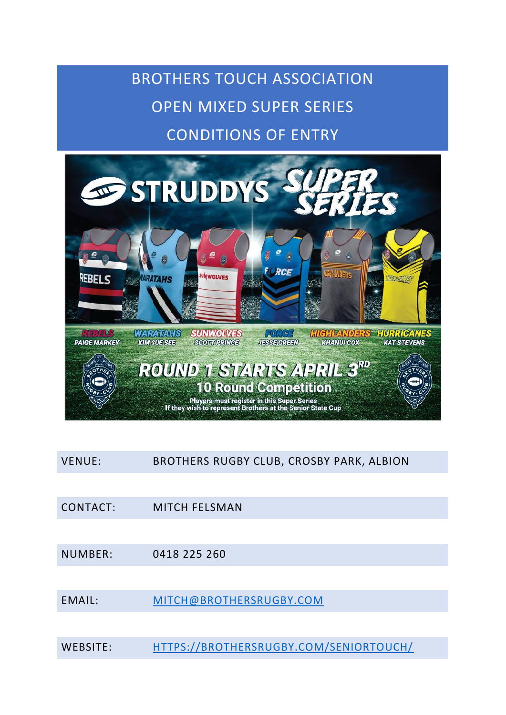# BROTHERS TOUCH ASSOCIATION OPEN MIXED SUPER SERIES CONDITIONS OF ENTRY



VENUE: BROTHERS RUGBY CLUB, CROSBY PARK, ALBION

CONTACT: MITCH FELSMAN

NUMBER: 0418 225 260

EMAIL: [MITCH@BROTHERSRUGBY.COM](mailto:mitch@brothersrugby.com)

WEBSITE: [HTTPS://BROTHERSRUGBY.COM/SENIORTOUCH/](https://brothersrugby.com/seniortouch/)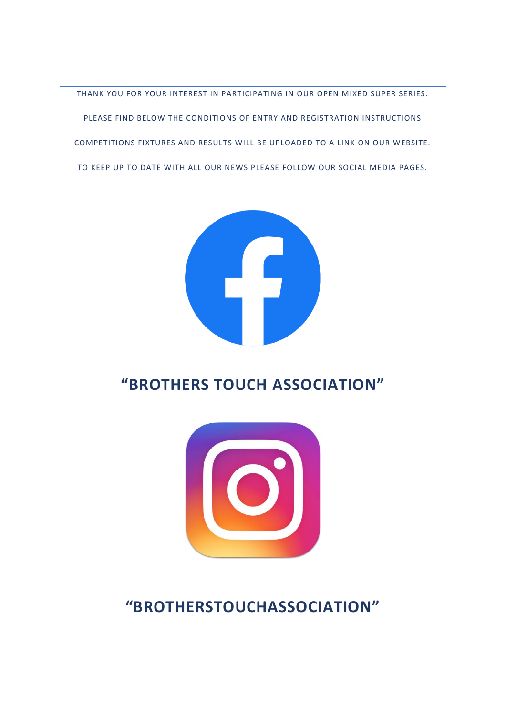### **"BROTHERSTOUCHASSOCIATION"**



### **"BROTHERS TOUCH ASSOCIATION"**



COMPETITIONS FIXTURES AND RESULTS WILL BE UPLOADED TO A LINK ON OUR WEBSITE. TO KEEP UP TO DATE WITH ALL OUR NEWS PLEASE FOLLOW OUR SOCIAL MEDIA PAGES.

THANK YOU FOR YOUR INTEREST IN PARTICIPATING IN OUR OPEN MIXED SUPER SERIES.

PLEASE FIND BELOW THE CONDITIONS OF ENTRY AND REGISTRATION INSTRUCTIONS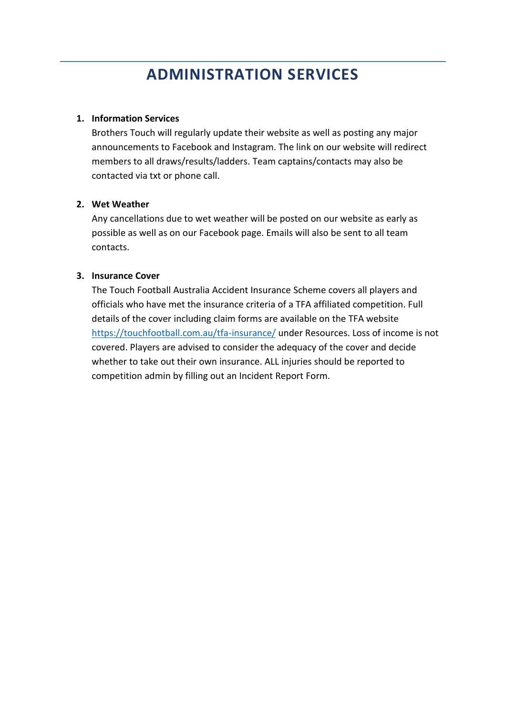### **ADMINISTRATION SERVICES**

#### **1. Information Services**

Brothers Touch will regularly update their website as well as posting any major announcements to Facebook and Instagram. The link on our website will redirect members to all draws/results/ladders. Team captains/contacts may also be contacted via txt or phone call.

#### **2. Wet Weather**

Any cancellations due to wet weather will be posted on our website as early as possible as well as on our Facebook page. Emails will also be sent to all team contacts.

#### **3. Insurance Cover**

The Touch Football Australia Accident Insurance Scheme covers all players and officials who have met the insurance criteria of a TFA affiliated competition. Full details of the cover including claim forms are available on the TFA website <https://touchfootball.com.au/tfa-insurance/> under Resources. Loss of income is not covered. Players are advised to consider the adequacy of the cover and decide whether to take out their own insurance. ALL injuries should be reported to competition admin by filling out an Incident Report Form.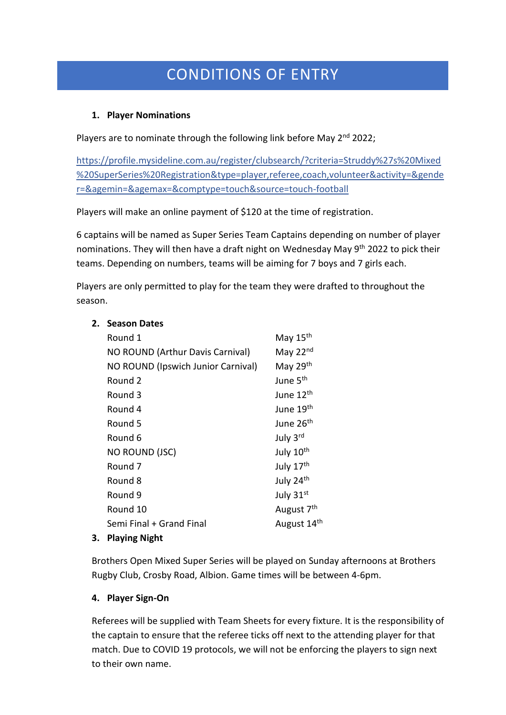## CONDITIONS OF ENTRY

#### **1. Player Nominations**

Players are to nominate through the following link before May 2<sup>nd</sup> 2022;

[https://profile.mysideline.com.au/register/clubsearch/?criteria=Struddy%27s%20Mixed](https://profile.mysideline.com.au/register/clubsearch/?criteria=Struddy%27s%20Mixed%20SuperSeries%20Registration&type=player,referee,coach,volunteer&activity=&gender=&agemin=&agemax=&comptype=touch&source=touch-football) [%20SuperSeries%20Registration&type=player,referee,coach,volunteer&activity=&gende](https://profile.mysideline.com.au/register/clubsearch/?criteria=Struddy%27s%20Mixed%20SuperSeries%20Registration&type=player,referee,coach,volunteer&activity=&gender=&agemin=&agemax=&comptype=touch&source=touch-football) [r=&agemin=&agemax=&comptype=touch&source=touch-football](https://profile.mysideline.com.au/register/clubsearch/?criteria=Struddy%27s%20Mixed%20SuperSeries%20Registration&type=player,referee,coach,volunteer&activity=&gender=&agemin=&agemax=&comptype=touch&source=touch-football)

Players will make an online payment of \$120 at the time of registration.

6 captains will be named as Super Series Team Captains depending on number of player nominations. They will then have a draft night on Wednesday May 9th 2022 to pick their teams. Depending on numbers, teams will be aiming for 7 boys and 7 girls each.

Players are only permitted to play for the team they were drafted to throughout the season.

| Round 1                            | May 15th                |
|------------------------------------|-------------------------|
| NO ROUND (Arthur Davis Carnival)   | May 22nd                |
| NO ROUND (Ipswich Junior Carnival) | May 29th                |
| Round 2                            | June 5 <sup>th</sup>    |
| Round 3                            | June 12 <sup>th</sup>   |
| Round 4                            | June 19th               |
| Round 5                            | June 26 <sup>th</sup>   |
| Round 6                            | July 3rd                |
| NO ROUND (JSC)                     | July 10 <sup>th</sup>   |
| Round 7                            | July 17th               |
| Round 8                            | July 24th               |
| Round 9                            | July 31st               |
| Round 10                           | August 7 <sup>th</sup>  |
| Semi Final + Grand Final           | August 14 <sup>th</sup> |
| Dlaving Night                      |                         |

#### **3. Playing Night**

**2. Season Dates**

Brothers Open Mixed Super Series will be played on Sunday afternoons at Brothers Rugby Club, Crosby Road, Albion. Game times will be between 4-6pm.

#### **4. Player Sign-On**

Referees will be supplied with Team Sheets for every fixture. It is the responsibility of the captain to ensure that the referee ticks off next to the attending player for that match. Due to COVID 19 protocols, we will not be enforcing the players to sign next to their own name.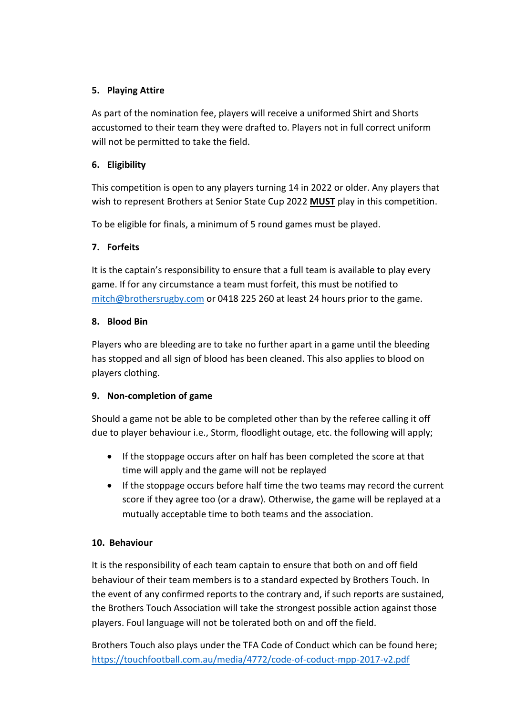#### **5. Playing Attire**

As part of the nomination fee, players will receive a uniformed Shirt and Shorts accustomed to their team they were drafted to. Players not in full correct uniform will not be permitted to take the field.

#### **6. Eligibility**

This competition is open to any players turning 14 in 2022 or older. Any players that wish to represent Brothers at Senior State Cup 2022 **MUST** play in this competition.

To be eligible for finals, a minimum of 5 round games must be played.

#### **7. Forfeits**

It is the captain's responsibility to ensure that a full team is available to play every game. If for any circumstance a team must forfeit, this must be notified to [mitch@brothersrugby.com](mailto:mitch@brothersrugby.com) or 0418 225 260 at least 24 hours prior to the game.

#### **8. Blood Bin**

Players who are bleeding are to take no further apart in a game until the bleeding has stopped and all sign of blood has been cleaned. This also applies to blood on players clothing.

#### **9. Non-completion of game**

Should a game not be able to be completed other than by the referee calling it off due to player behaviour i.e., Storm, floodlight outage, etc. the following will apply;

- If the stoppage occurs after on half has been completed the score at that time will apply and the game will not be replayed
- If the stoppage occurs before half time the two teams may record the current score if they agree too (or a draw). Otherwise, the game will be replayed at a mutually acceptable time to both teams and the association.

#### **10. Behaviour**

It is the responsibility of each team captain to ensure that both on and off field behaviour of their team members is to a standard expected by Brothers Touch. In the event of any confirmed reports to the contrary and, if such reports are sustained, the Brothers Touch Association will take the strongest possible action against those players. Foul language will not be tolerated both on and off the field.

Brothers Touch also plays under the TFA Code of Conduct which can be found here; <https://touchfootball.com.au/media/4772/code-of-coduct-mpp-2017-v2.pdf>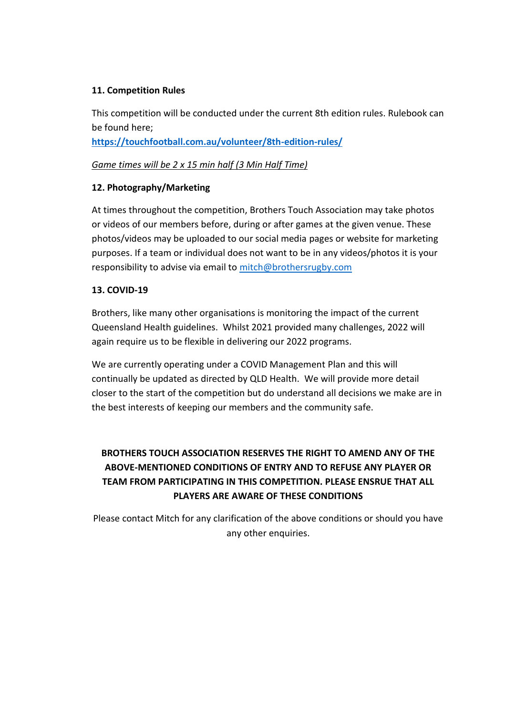#### **11. Competition Rules**

This competition will be conducted under the current 8th edition rules. Rulebook can be found here;

**<https://touchfootball.com.au/volunteer/8th-edition-rules/>**

#### *Game times will be 2 x 15 min half (3 Min Half Time)*

#### **12. Photography/Marketing**

At times throughout the competition, Brothers Touch Association may take photos or videos of our members before, during or after games at the given venue. These photos/videos may be uploaded to our social media pages or website for marketing purposes. If a team or individual does not want to be in any videos/photos it is your responsibility to advise via email to [mitch@brothersrugby.com](mailto:mitch@brothersrugby.com)

#### **13. COVID-19**

Brothers, like many other organisations is monitoring the impact of the current Queensland Health guidelines. Whilst 2021 provided many challenges, 2022 will again require us to be flexible in delivering our 2022 programs.

We are currently operating under a COVID Management Plan and this will continually be updated as directed by QLD Health. We will provide more detail closer to the start of the competition but do understand all decisions we make are in the best interests of keeping our members and the community safe.

### **BROTHERS TOUCH ASSOCIATION RESERVES THE RIGHT TO AMEND ANY OF THE ABOVE-MENTIONED CONDITIONS OF ENTRY AND TO REFUSE ANY PLAYER OR TEAM FROM PARTICIPATING IN THIS COMPETITION. PLEASE ENSRUE THAT ALL PLAYERS ARE AWARE OF THESE CONDITIONS**

Please contact Mitch for any clarification of the above conditions or should you have any other enquiries.